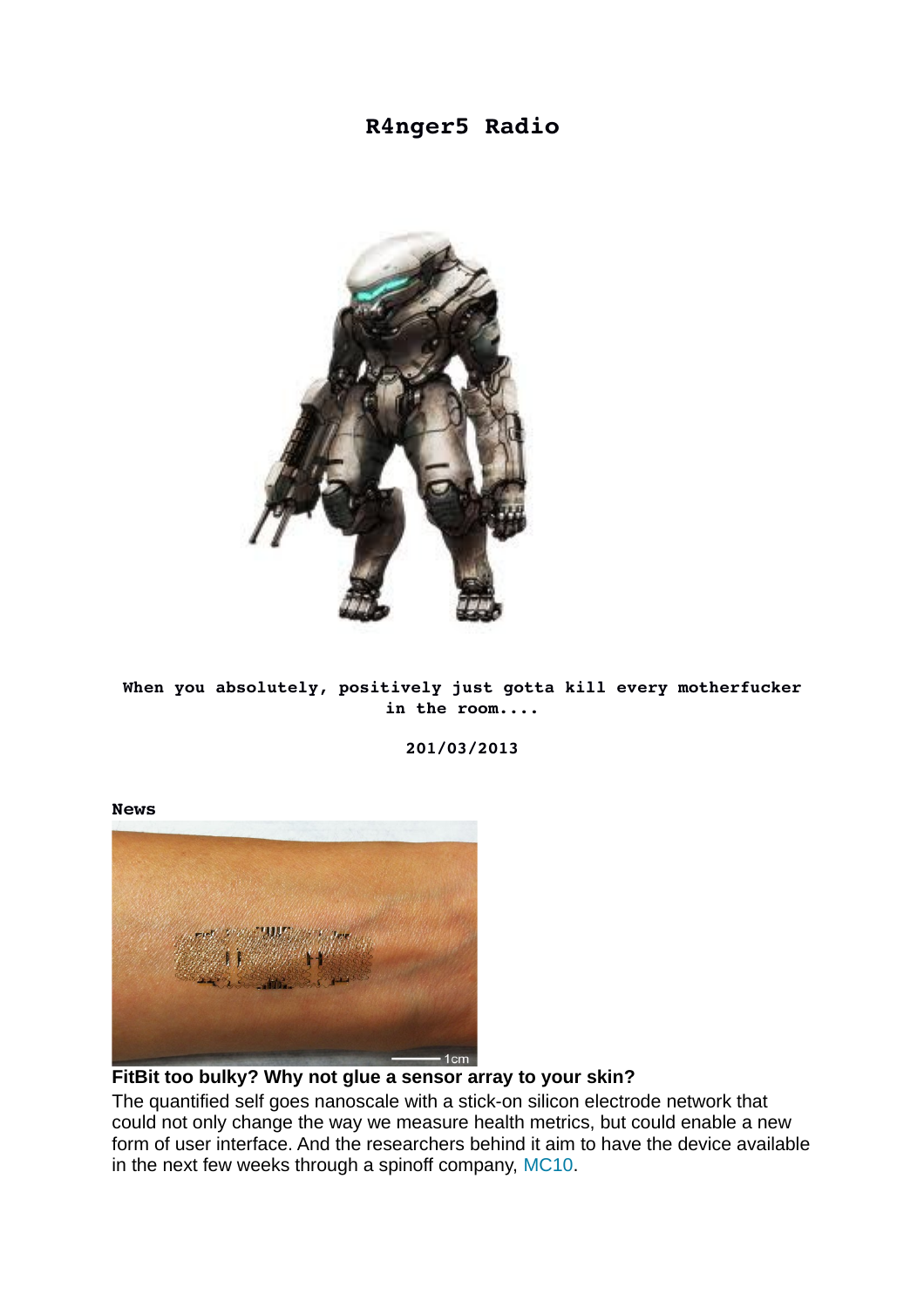# **R4nger5 Radio**



#### **When you absolutely, positively just gotta kill every motherfucker in the room....**

#### **201/03/2013**

**News**



#### **FitBit too bulky? Why not glue a sensor array to your skin?**

The quantified self goes nanoscale with a stick-on silicon electrode network that could not only change the way we measure health metrics, but could enable a new form of user interface. And the researchers behind it aim to have the device available in the next few weeks through a spinoff company, [MC10.](http://www.mc10inc.com/)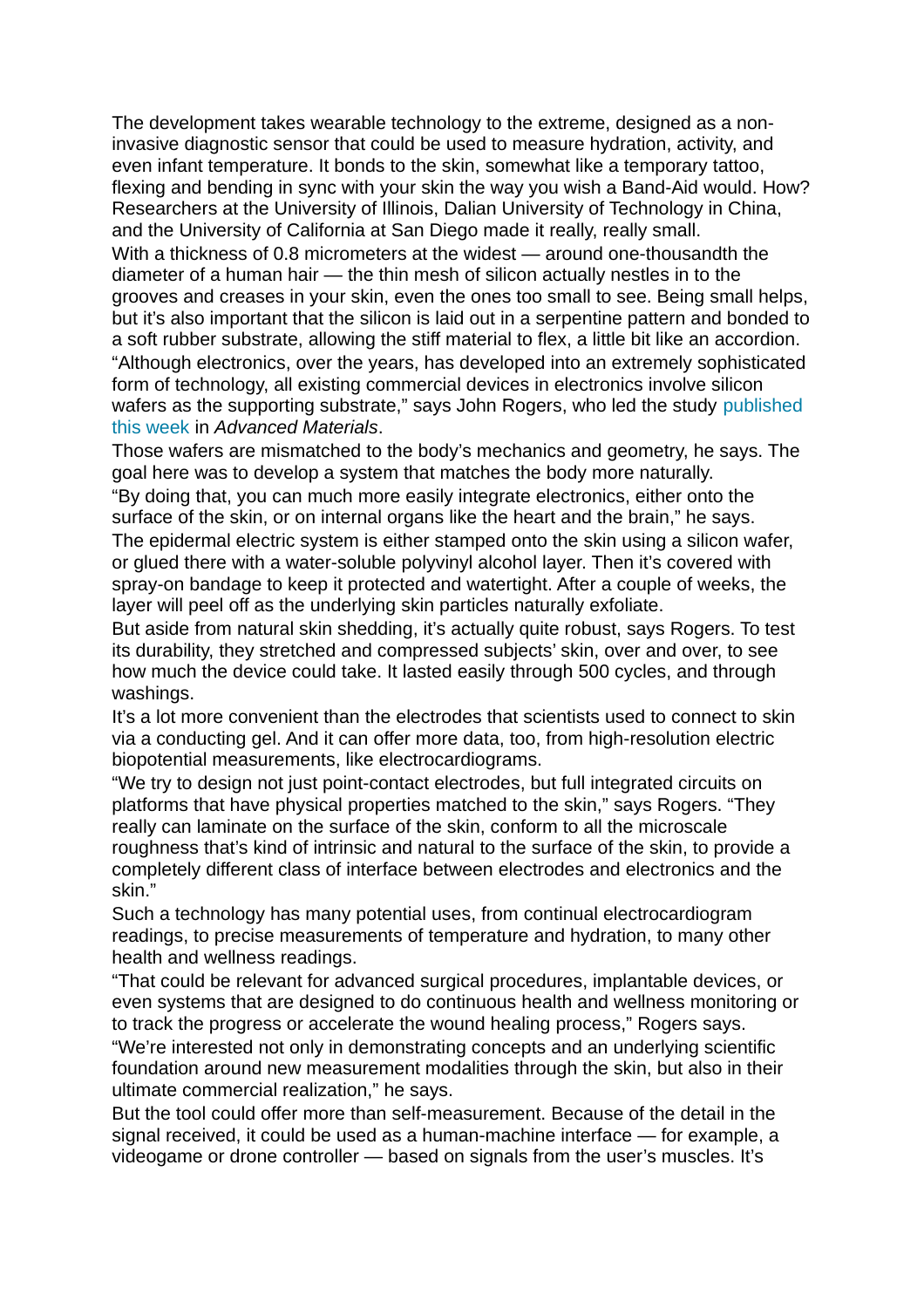The development takes wearable technology to the extreme, designed as a noninvasive diagnostic sensor that could be used to measure hydration, activity, and even infant temperature. It bonds to the skin, somewhat like a temporary tattoo, flexing and bending in sync with your skin the way you wish a Band-Aid would. How? Researchers at the University of Illinois, Dalian University of Technology in China, and the University of California at San Diego made it really, really small. With a thickness of 0.8 micrometers at the widest — around one-thousandth the diameter of a human hair — the thin mesh of silicon actually nestles in to the grooves and creases in your skin, even the ones too small to see. Being small helps, but it's also important that the silicon is laid out in a serpentine pattern and bonded to a soft rubber substrate, allowing the stiff material to flex, a little bit like an accordion. "Although electronics, over the years, has developed into an extremely sophisticated form of technology, all existing commercial devices in electronics involve silicon wafers as the supporting substrate," says John Rogers, who led the study published [this week](http://onlinelibrary.wiley.com/doi/10.1002/adma.201204426/abstract;jsessionid=4379F550A95700496346783673C8D47D.d01t04) in *Advanced Materials*.

Those wafers are mismatched to the body's mechanics and geometry, he says. The goal here was to develop a system that matches the body more naturally. "By doing that, you can much more easily integrate electronics, either onto the

surface of the skin, or on internal organs like the heart and the brain," he says. The epidermal electric system is either stamped onto the skin using a silicon wafer, or glued there with a water-soluble polyvinyl alcohol layer. Then it's covered with spray-on bandage to keep it protected and watertight. After a couple of weeks, the layer will peel off as the underlying skin particles naturally exfoliate.

But aside from natural skin shedding, it's actually quite robust, says Rogers. To test its durability, they stretched and compressed subjects' skin, over and over, to see how much the device could take. It lasted easily through 500 cycles, and through washings.

It's a lot more convenient than the electrodes that scientists used to connect to skin via a conducting gel. And it can offer more data, too, from high-resolution electric biopotential measurements, like electrocardiograms.

"We try to design not just point-contact electrodes, but full integrated circuits on platforms that have physical properties matched to the skin," says Rogers. "They really can laminate on the surface of the skin, conform to all the microscale roughness that's kind of intrinsic and natural to the surface of the skin, to provide a completely different class of interface between electrodes and electronics and the skin."

Such a technology has many potential uses, from continual electrocardiogram readings, to precise measurements of temperature and hydration, to many other health and wellness readings.

"That could be relevant for advanced surgical procedures, implantable devices, or even systems that are designed to do continuous health and wellness monitoring or to track the progress or accelerate the wound healing process," Rogers says.

"We're interested not only in demonstrating concepts and an underlying scientific foundation around new measurement modalities through the skin, but also in their ultimate commercial realization," he says.

But the tool could offer more than self-measurement. Because of the detail in the signal received, it could be used as a human-machine interface — for example, a videogame or drone controller — based on signals from the user's muscles. It's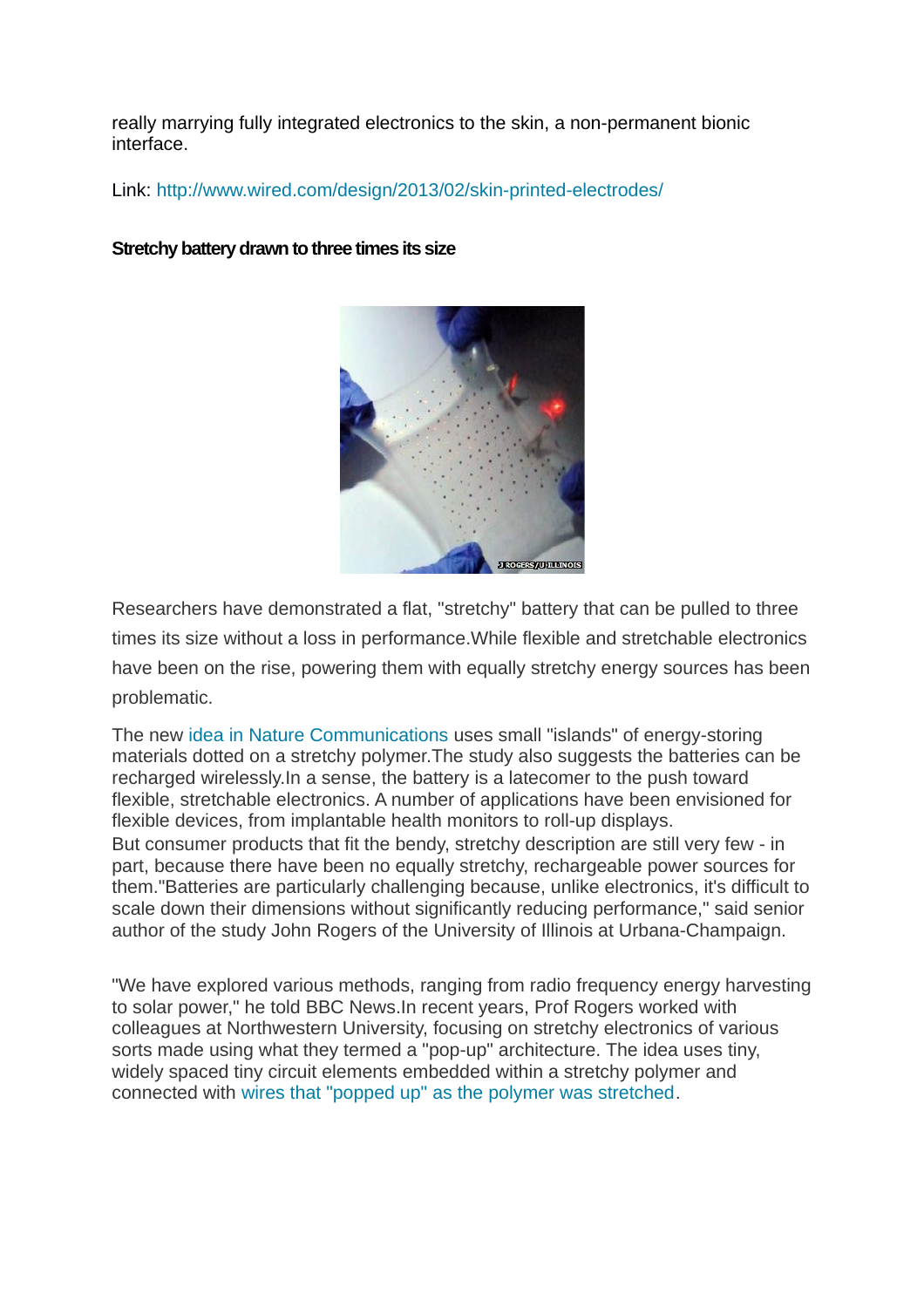really marrying fully integrated electronics to the skin, a non-permanent bionic interface.

Link:<http://www.wired.com/design/2013/02/skin-printed-electrodes/>

**Stretchy battery drawn to three times its size**

Researchers have demonstrated a flat, "stretchy" battery that can be pulled to three times its size without a loss in performance.While flexible and stretchable electronics have been on the rise, powering them with equally stretchy energy sources has been problematic.

The new idea in Nature Communications uses small "islands" of energy-storing materials dotted on a stretchy polymer.The study also suggests the batteries can be recharged wirelessly.In a sense, the battery is a latecomer to the push toward flexible, stretchable electronics. A number of applications have been envisioned for flexible devices, from implantable health monitors to roll-up displays. But consumer products that fit the bendy, stretchy description are still very few - in part, because there have been no equally stretchy, rechargeable power sources for them."Batteries are particularly challenging because, unlike electronics, it's difficult to scale down their dimensions without significantly reducing performance," said senior author of the study John Rogers of the University of Illinois at Urbana-Champaign.

"We have explored various methods, ranging from radio frequency energy harvesting to solar power," he told BBC News.In recent years, Prof Rogers worked with colleagues at Northwestern University, focusing on stretchy electronics of various sorts made using what they termed a "pop-up" architecture. The idea uses tiny, widely spaced tiny circuit elements embedded within a stretchy polymer and connected with [wires that "popped up" as the polymer was stretched.](http://www.bbc.co.uk/1/hi/sci/tech/7543987.stm)

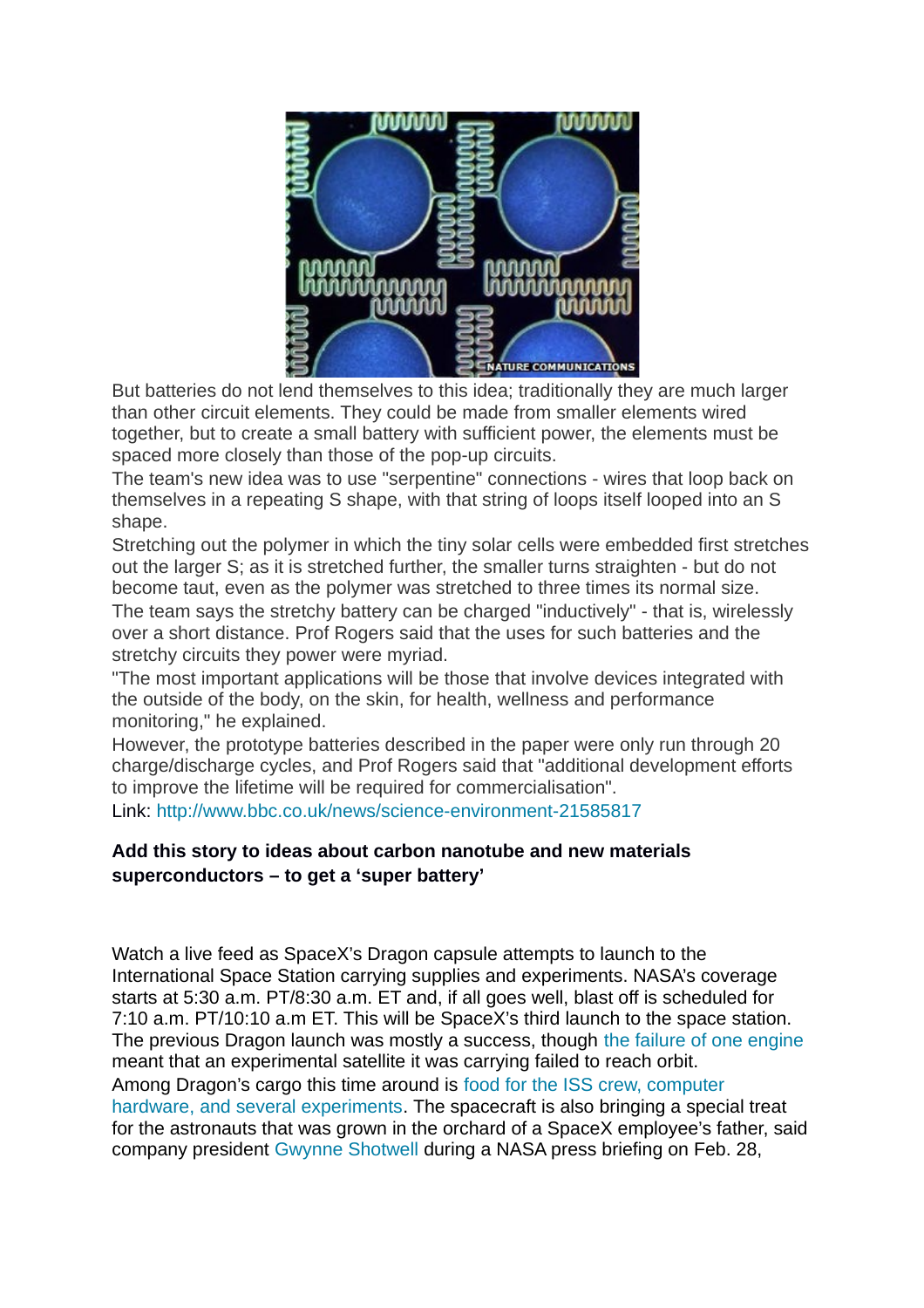

But batteries do not lend themselves to this idea; traditionally they are much larger than other circuit elements. They could be made from smaller elements wired together, but to create a small battery with sufficient power, the elements must be spaced more closely than those of the pop-up circuits.

The team's new idea was to use "serpentine" connections - wires that loop back on themselves in a repeating S shape, with that string of loops itself looped into an S shape.

Stretching out the polymer in which the tiny solar cells were embedded first stretches out the larger S; as it is stretched further, the smaller turns straighten - but do not become taut, even as the polymer was stretched to three times its normal size.

The team says the stretchy battery can be charged "inductively" - that is, wirelessly over a short distance. Prof Rogers said that the uses for such batteries and the stretchy circuits they power were myriad.

"The most important applications will be those that involve devices integrated with the outside of the body, on the skin, for health, wellness and performance monitoring," he explained.

However, the prototype batteries described in the paper were only run through 20 charge/discharge cycles, and Prof Rogers said that "additional development efforts to improve the lifetime will be required for commercialisation".

Link:<http://www.bbc.co.uk/news/science-environment-21585817>

## **Add this story to ideas about carbon nanotube and new materials superconductors – to get a 'super battery'**

Watch a live feed as SpaceX's Dragon capsule attempts to launch to the International Space Station carrying supplies and experiments. NASA's coverage starts at 5:30 a.m. PT/8:30 a.m. ET and, if all goes well, blast off is scheduled for 7:10 a.m. PT/10:10 a.m ET. This will be SpaceX's third launch to the space station. The previous Dragon launch was mostly a success, though [the failure of one engine](http://www.wired.com/autopia/2012/10/spacex-nasa-investigation/) meant that an experimental satellite it was carrying failed to reach orbit. Among Dragon's cargo this time around is [food for the ISS crew, computer](http://www.businessinsider.com/spacex-cargo-manifest-2013-2)  [hardware, and several experiments.](http://www.businessinsider.com/spacex-cargo-manifest-2013-2) The spacecraft is also bringing a special treat for the astronauts that was grown in the orchard of a SpaceX employee's father, said company president [Gwynne Shotwell](http://www.spacex.com/company.php) during a NASA press briefing on Feb. 28,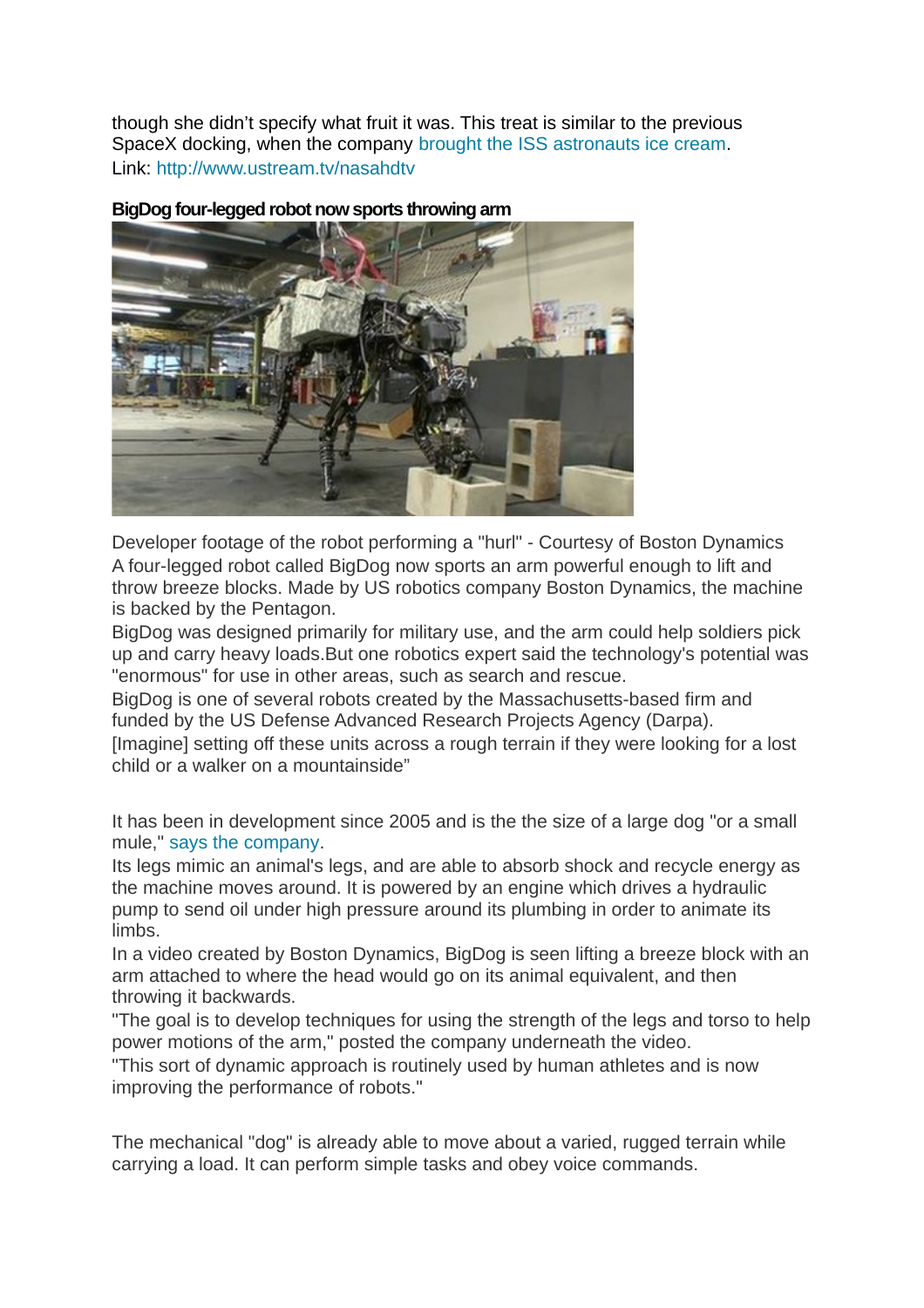though she didn't specify what fruit it was. This treat is similar to the previous SpaceX docking, when the company [brought the ISS astronauts ice cream.](http://www.wired.com/autopia/2012/10/spacex-splashdown-nasa/) Link:<http://www.ustream.tv/nasahdtv>



**BigDog four-legged robot now sports throwing arm**

Developer footage of the robot performing a "hurl" - Courtesy of Boston Dynamics A four-legged robot called BigDog now sports an arm powerful enough to lift and throw breeze blocks. Made by US robotics company Boston Dynamics, the machine is backed by the Pentagon.

BigDog was designed primarily for military use, and the arm could help soldiers pick up and carry heavy loads.But one robotics expert said the technology's potential was "enormous" for use in other areas, such as search and rescue.

BigDog is one of several robots created by the Massachusetts-based firm and funded by the US Defense Advanced Research Projects Agency (Darpa).

[Imagine] setting off these units across a rough terrain if they were looking for a lost child or a walker on a mountainside"

It has been in development since 2005 and is the the size of a large dog "or a small mule," [says the company.](http://www.bostondynamics.com/img/BigDog_IFAC_Apr-8-2008.pdf)

Its legs mimic an animal's legs, and are able to absorb shock and recycle energy as the machine moves around. It is powered by an engine which drives a hydraulic pump to send oil under high pressure around its plumbing in order to animate its limbs.

In a video created by Boston Dynamics, BigDog is seen lifting a breeze block with an arm attached to where the head would go on its animal equivalent, and then throwing it backwards.

"The goal is to develop techniques for using the strength of the legs and torso to help power motions of the arm," posted the company underneath the video.

"This sort of dynamic approach is routinely used by human athletes and is now improving the performance of robots."

The mechanical "dog" is already able to move about a varied, rugged terrain while carrying a load. It can perform simple tasks and obey voice commands.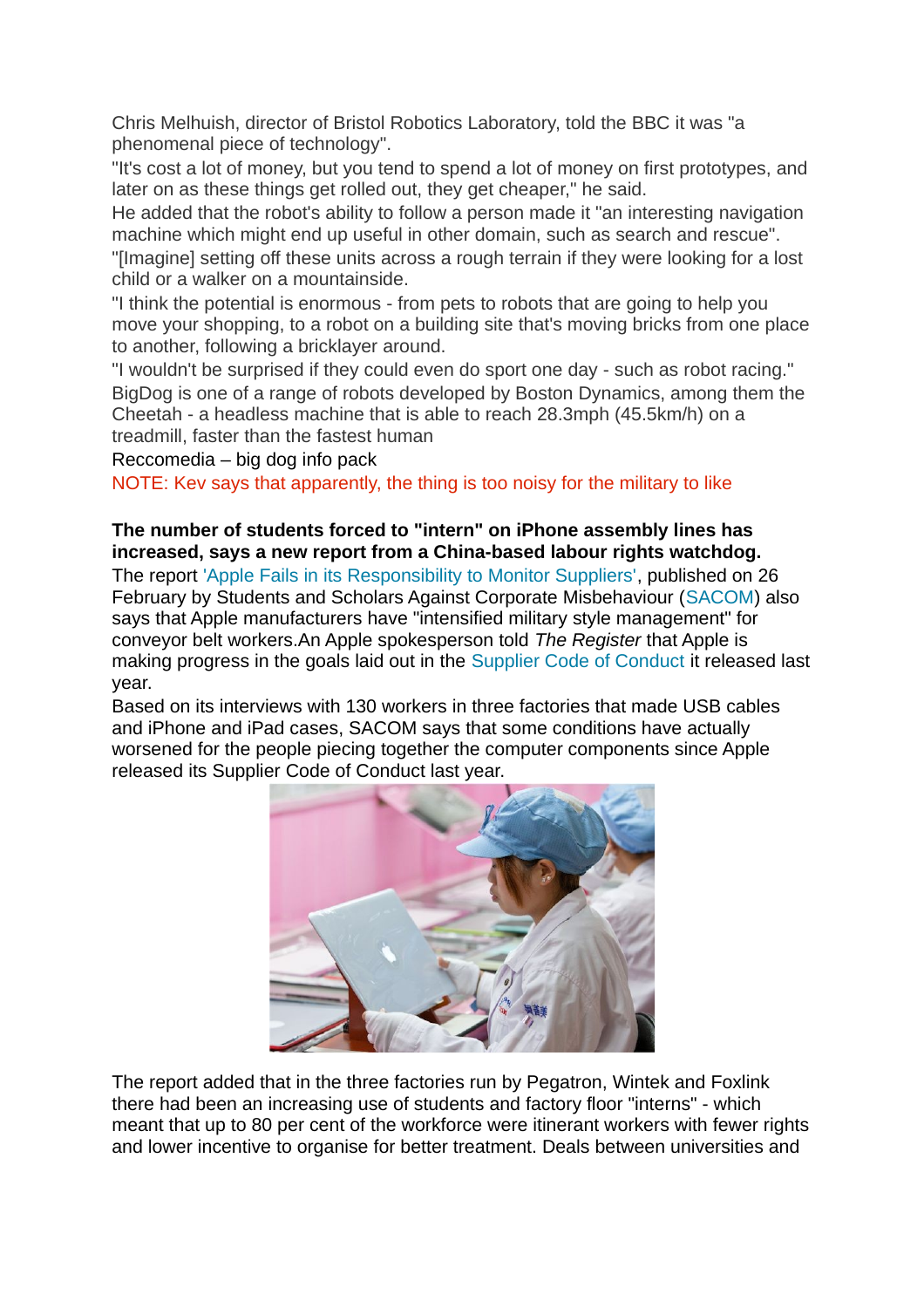Chris Melhuish, director of Bristol Robotics Laboratory, told the BBC it was "a phenomenal piece of technology".

"It's cost a lot of money, but you tend to spend a lot of money on first prototypes, and later on as these things get rolled out, they get cheaper," he said.

He added that the robot's ability to follow a person made it "an interesting navigation machine which might end up useful in other domain, such as search and rescue". "[Imagine] setting off these units across a rough terrain if they were looking for a lost child or a walker on a mountainside.

"I think the potential is enormous - from pets to robots that are going to help you move your shopping, to a robot on a building site that's moving bricks from one place to another, following a bricklayer around.

"I wouldn't be surprised if they could even do sport one day - such as robot racing." BigDog is one of a range of robots developed by Boston Dynamics, among them the Cheetah - a headless machine that is able to reach 28.3mph (45.5km/h) on a treadmill, faster than the fastest human

Reccomedia – big dog info pack

NOTE: Kev says that apparently, the thing is too noisy for the military to like

## **The number of students forced to "intern" on iPhone assembly lines has increased, says a new report from a China-based labour rights watchdog.**

The report ['Apple Fails in its Responsibility to Monitor Suppliers',](http://www.scribd.com/doc/127329355/2013-02-26-Apple-Fails-in-Its-Responsibility) published on 26 February by Students and Scholars Against Corporate Misbehaviour [\(SACOM\)](http://sacom.hk/archives/980) also says that Apple manufacturers have "intensified military style management" for conveyor belt workers.An Apple spokesperson told *The Register* that Apple is making progress in the goals laid out in the [Supplier Code of Conduct](http://www.apple.com/supplierresponsibility/) it released last year.

Based on its interviews with 130 workers in three factories that made USB cables and iPhone and iPad cases, SACOM says that some conditions have actually worsened for the people piecing together the computer components since Apple released its Supplier Code of Conduct last year.



The report added that in the three factories run by Pegatron, Wintek and Foxlink there had been an increasing use of students and factory floor "interns" - which meant that up to 80 per cent of the workforce were itinerant workers with fewer rights and lower incentive to organise for better treatment. Deals between universities and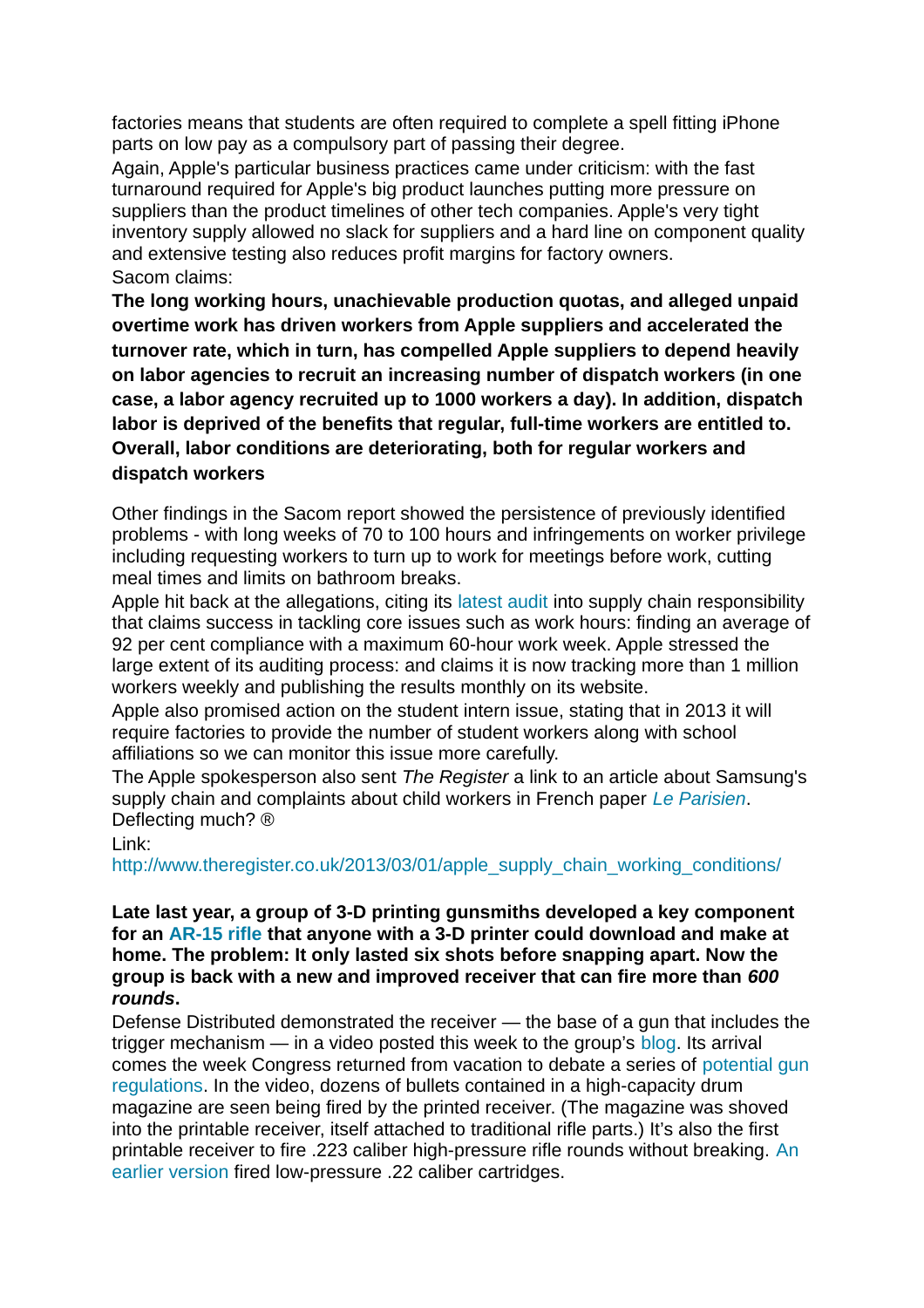factories means that students are often required to complete a spell fitting iPhone parts on low pay as a compulsory part of passing their degree.

Again, Apple's particular business practices came under criticism: with the fast turnaround required for Apple's big product launches putting more pressure on suppliers than the product timelines of other tech companies. Apple's very tight inventory supply allowed no slack for suppliers and a hard line on component quality and extensive testing also reduces profit margins for factory owners. Sacom claims:

**The long working hours, unachievable production quotas, and alleged unpaid overtime work has driven workers from Apple suppliers and accelerated the turnover rate, which in turn, has compelled Apple suppliers to depend heavily on labor agencies to recruit an increasing number of dispatch workers (in one case, a labor agency recruited up to 1000 workers a day). In addition, dispatch labor is deprived of the benefits that regular, full-time workers are entitled to. Overall, labor conditions are deteriorating, both for regular workers and dispatch workers**

Other findings in the Sacom report showed the persistence of previously identified problems - with long weeks of 70 to 100 hours and infringements on worker privilege including requesting workers to turn up to work for meetings before work, cutting meal times and limits on bathroom breaks.

Apple hit back at the allegations, citing its [latest audit](http://images.apple.com/supplierresponsibility/pdf/Apple_SR_2013_Progress_Report.pdf) into supply chain responsibility that claims success in tackling core issues such as work hours: finding an average of 92 per cent compliance with a maximum 60-hour work week. Apple stressed the large extent of its auditing process: and claims it is now tracking more than 1 million workers weekly and publishing the results monthly on its website.

Apple also promised action on the student intern issue, stating that in 2013 it will require factories to provide the number of student workers along with school affiliations so we can monitor this issue more carefully.

The Apple spokesperson also sent *The Register* a link to an article about Samsung's supply chain and complaints about child workers in French paper *[Le Parisien](http://www.leparisien.fr/high-tech/samsung-poursuivi-en-france-pour-non-respect-des-regles-d-ethique-en-chine-26-02-2013-2600135.php)*. Deflecting much? ®

Link:

[http://www.theregister.co.uk/2013/03/01/apple\\_supply\\_chain\\_working\\_conditions/](http://www.theregister.co.uk/2013/03/01/apple_supply_chain_working_conditions/)

#### **Late last year, a group of 3-D printing gunsmiths developed a key component for an [AR-15 rifle](http://www.wired.com/dangerroom/2013/02/ar-15/all/) that anyone with a 3-D printer could download and make at home. The problem: It only lasted six shots before snapping apart. Now the group is back with a new and improved receiver that can fire more than** *600 rounds***.**

Defense Distributed demonstrated the receiver — the base of a gun that includes the trigger mechanism — in a video posted this week to the group's [blog.](http://defdist.tumblr.com/) Its arrival comes the week Congress returned from vacation to debate a series of [potential gun](http://www.theatlanticwire.com/politics/2013/02/3d-printer-guns/62552/) [regulations.](http://www.theatlanticwire.com/politics/2013/02/3d-printer-guns/62552/) In the video, dozens of bullets contained in a high-capacity drum magazine are seen being fired by the printed receiver. (The magazine was shoved into the printable receiver, itself attached to traditional rifle parts.) It's also the first printable receiver to fire .223 caliber high-pressure rifle rounds without breaking. [An](http://www.wired.com/dangerroom/2012/08/3d-weapons/)  [earlier version](http://www.wired.com/dangerroom/2012/08/3d-weapons/) fired low-pressure .22 caliber cartridges.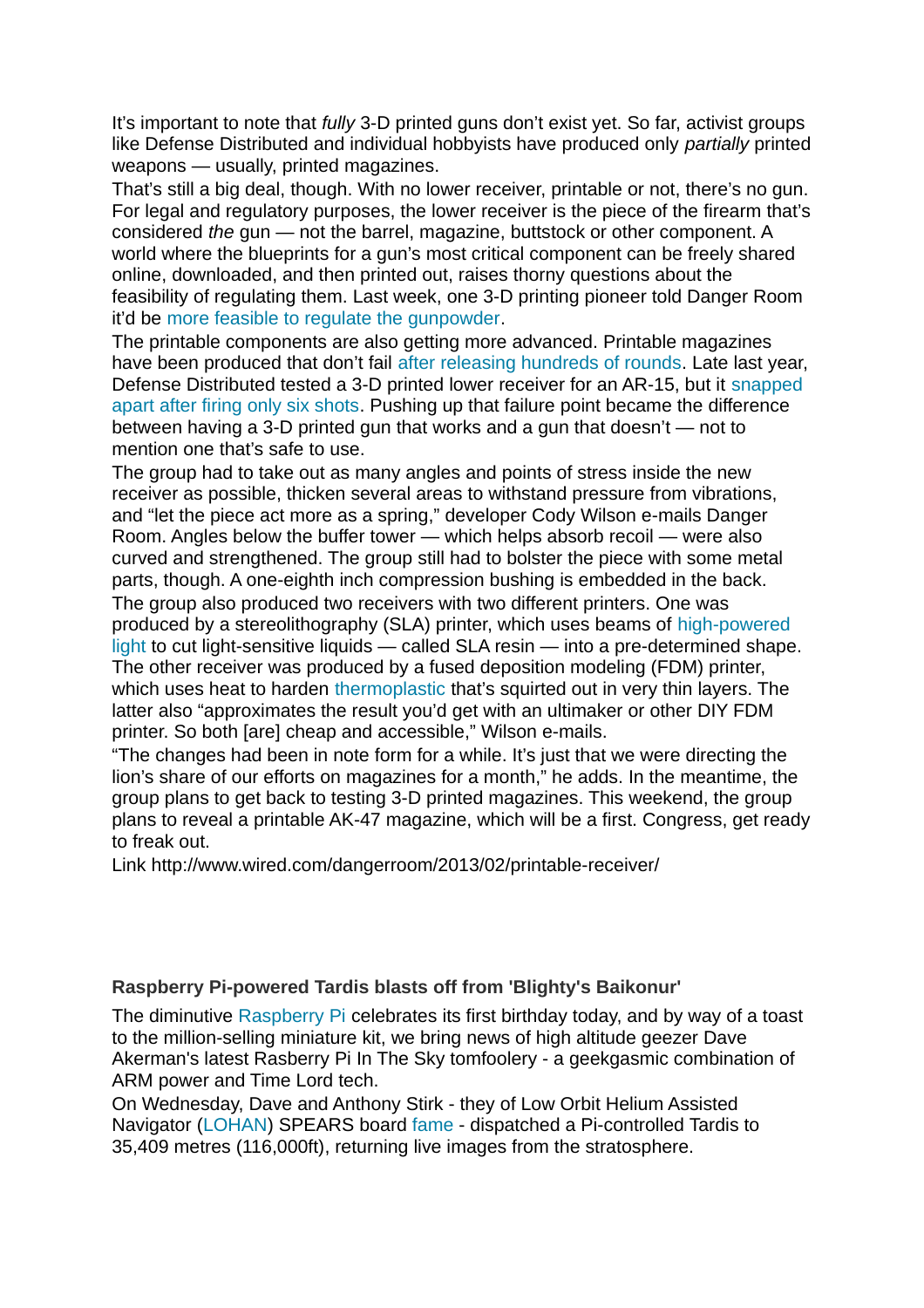It's important to note that *fully* 3-D printed guns don't exist yet. So far, activist groups like Defense Distributed and individual hobbyists have produced only *partially* printed weapons — usually, printed magazines.

That's still a big deal, though. With no lower receiver, printable or not, there's no gun. For legal and regulatory purposes, the lower receiver is the piece of the firearm that's considered *the* gun — not the barrel, magazine, buttstock or other component. A world where the blueprints for a gun's most critical component can be freely shared online, downloaded, and then printed out, raises thorny questions about the feasibility of regulating them. Last week, one 3-D printing pioneer told Danger Room it'd be [more feasible to regulate the gunpowder.](http://www.wired.com/dangerroom/2013/02/gunpowder-regulation/)

The printable components are also getting more advanced. Printable magazines have been produced that don't fail [after releasing hundreds of rounds.](http://www.wired.com/dangerroom/2013/02/printed-magazine/) Late last year, Defense Distributed tested a 3-D printed lower receiver for an AR-15, but it [snapped](http://www.wired.com/dangerroom/2012/12/weaponeers/)  [apart after firing only six shots.](http://www.wired.com/dangerroom/2012/12/weaponeers/) Pushing up that failure point became the difference between having a 3-D printed gun that works and a gun that doesn't — not to mention one that's safe to use.

The group had to take out as many angles and points of stress inside the new receiver as possible, thicken several areas to withstand pressure from vibrations, and "let the piece act more as a spring," developer Cody Wilson e-mails Danger Room. Angles below the buffer tower — which helps absorb recoil — were also curved and strengthened. The group still had to bolster the piece with some metal parts, though. A one-eighth inch compression bushing is embedded in the back. The group also produced two receivers with two different printers. One was produced by a stereolithography (SLA) printer, which uses beams of [high-powered](http://www.wired.com/design/2012/07/3-d-printers-that-dont-suck/)  [light](http://www.wired.com/design/2012/07/3-d-printers-that-dont-suck/) to cut light-sensitive liquids — called SLA resin — into a pre-determined shape. The other receiver was produced by a fused deposition modeling (FDM) printer, which uses heat to harden [thermoplastic](http://www.wired.com/design/2012/05/next-generation-3-d-printing/) that's squirted out in very thin layers. The latter also "approximates the result you'd get with an ultimaker or other DIY FDM printer. So both [are] cheap and accessible," Wilson e-mails.

"The changes had been in note form for a while. It's just that we were directing the lion's share of our efforts on magazines for a month," he adds. In the meantime, the group plans to get back to testing 3-D printed magazines. This weekend, the group plans to reveal a printable AK-47 magazine, which will be a first. Congress, get ready to freak out.

Link<http://www.wired.com/dangerroom/2013/02/printable-receiver/>

## **Raspberry Pi-powered Tardis blasts off from 'Blighty's Baikonur'**

The diminutive [Raspberry Pi](http://www.raspberrypi.org/) celebrates its first birthday today, and by way of a toast to the million-selling miniature kit, we bring news of high altitude geezer Dave Akerman's latest Rasberry Pi In The Sky tomfoolery - a geekgasmic combination of ARM power and Time Lord tech.

On Wednesday, Dave and Anthony Stirk - they of Low Orbit Helium Assisted Navigator [\(LOHAN\)](http://www.theregister.co.uk/Wrap/lohan/) SPEARS board [fame](http://www.theregister.co.uk/2012/12/04/spears_flight/) - dispatched a Pi-controlled Tardis to 35,409 metres (116,000ft), returning live images from the stratosphere.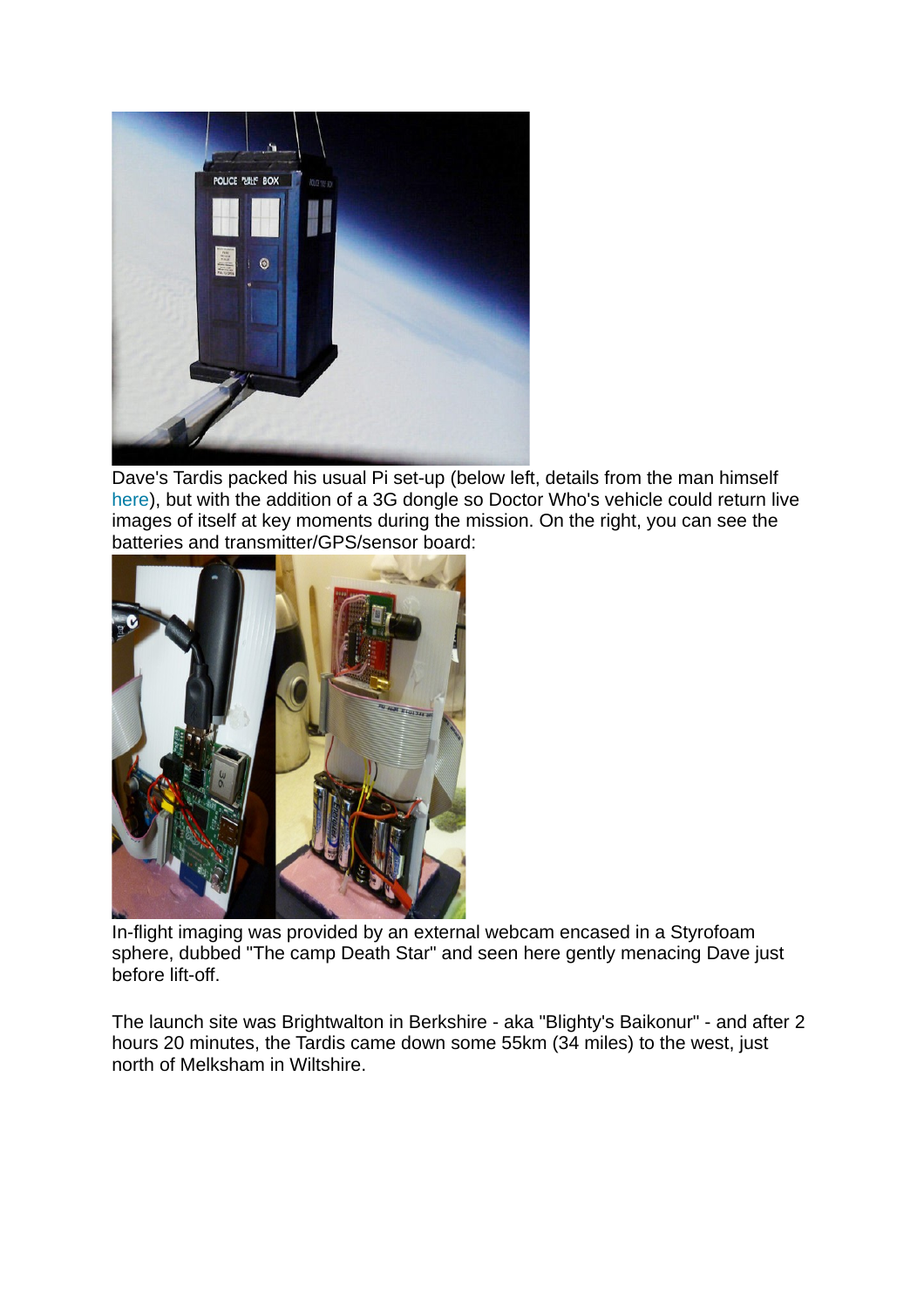

Dave's Tardis packed his usual Pi set-up (below left, details from the man himself [here\)](http://www.daveakerman.com/?p=873), but with the addition of a 3G dongle so Doctor Who's vehicle could return live images of itself at key moments during the mission. On the right, you can see the batteries and transmitter/GPS/sensor board:



In-flight imaging was provided by an external webcam encased in a Styrofoam sphere, dubbed "The camp Death Star" and seen here gently menacing Dave just before lift-off.

The launch site was Brightwalton in Berkshire - aka "Blighty's Baikonur" - and after 2 hours 20 minutes, the Tardis came down some 55km (34 miles) to the west, just north of Melksham in Wiltshire.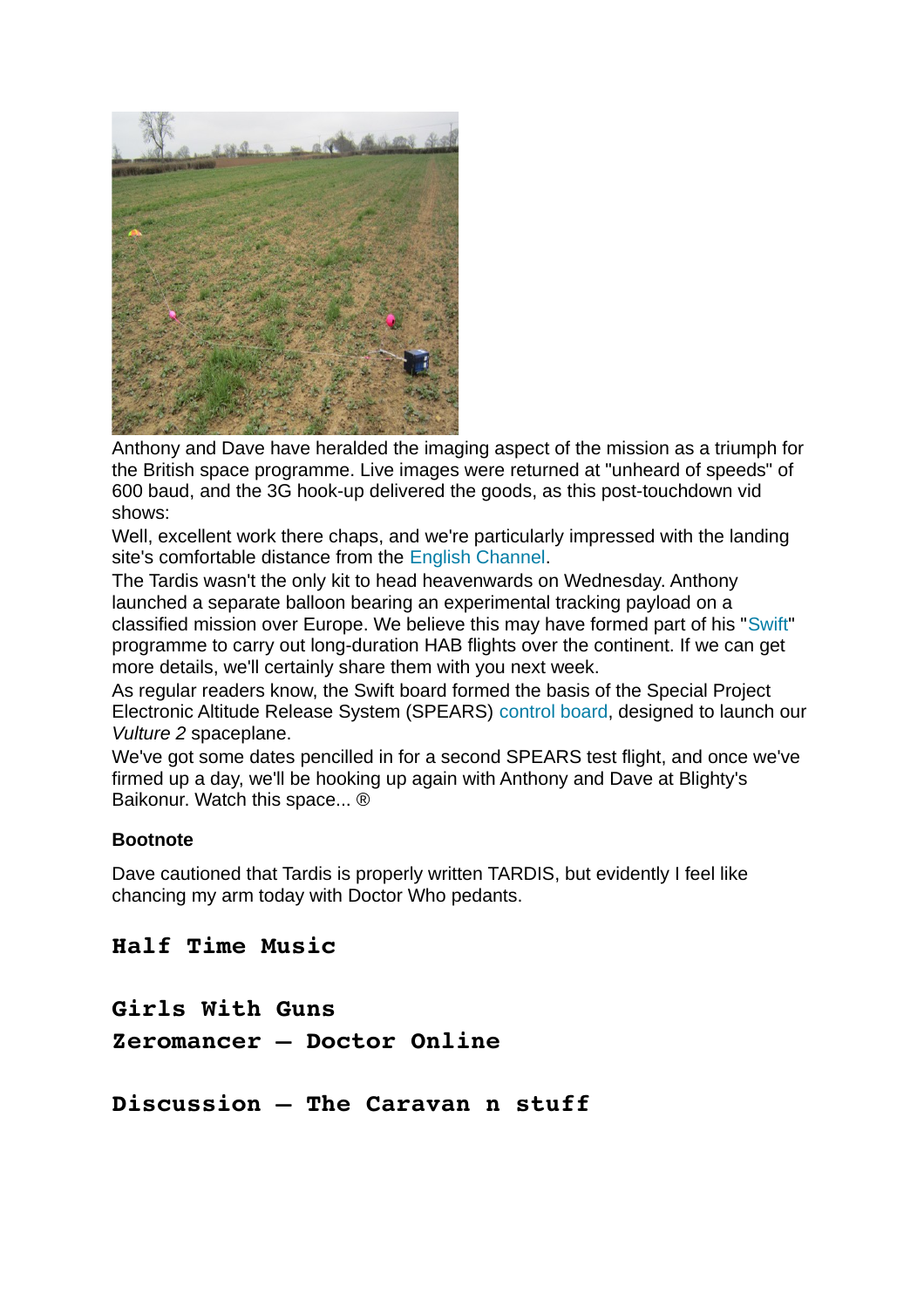

Anthony and Dave have heralded the imaging aspect of the mission as a triumph for the British space programme. Live images were returned at "unheard of speeds" of 600 baud, and the 3G hook-up delivered the goods, as this post-touchdown vid shows:

Well, excellent work there chaps, and we're particularly impressed with the landing site's comfortable distance from the [English Channel.](http://www.theregister.co.uk/2012/12/04/spears_flight/)

The Tardis wasn't the only kit to head heavenwards on Wednesday. Anthony launched a separate balloon bearing an experimental tracking payload on a classified mission over Europe. We believe this may have formed part of his ["Swift"](http://www.projectswift.co.uk/) programme to carry out long-duration HAB flights over the continent. If we can get more details, we'll certainly share them with you next week.

As regular readers know, the Swift board formed the basis of the Special Project Electronic Altitude Release System (SPEARS) [control board,](http://www.theregister.co.uk/2012/11/26/spears_board/) designed to launch our *Vulture 2* spaceplane.

We've got some dates pencilled in for a second SPEARS test flight, and once we've firmed up a day, we'll be hooking up again with Anthony and Dave at Blighty's Baikonur. Watch this space... ®

## **Bootnote**

Dave cautioned that Tardis is properly written TARDIS, but evidently I feel like chancing my arm today with Doctor Who pedants.

## **Half Time Music**

**Girls With Guns Zeromancer – Doctor Online**

**Discussion – The Caravan n stuff**